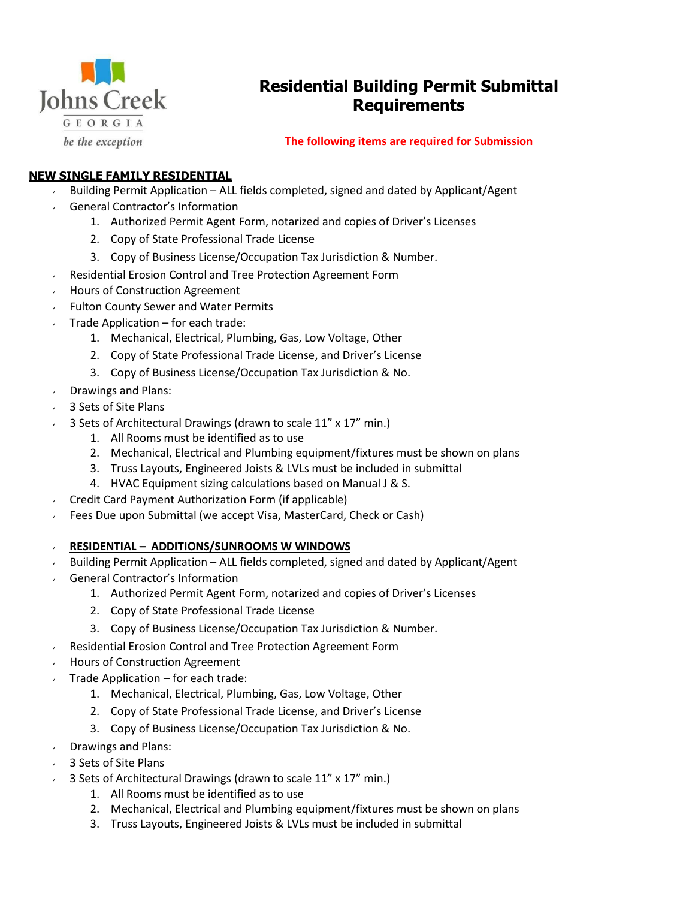

# **Residential Building Permit Submittal Requirements**

# **The following items are required for Submission**

# **NEW SINGLE FAMILY RESIDENTIAL**

- $\sim$  Building Permit Application ALL fields completed, signed and dated by Applicant/Agent
- General Contractor's Information
	- 1. Authorized Permit Agent Form, notarized and copies of Driver's Licenses
	- 2. Copy of State Professional Trade License
	- 3. Copy of Business License/Occupation Tax Jurisdiction & Number.
- Residential Erosion Control and Tree Protection Agreement Form
- Hours of Construction Agreement
- **Fulton County Sewer and Water Permits**
- Trade Application for each trade:
	- 1. Mechanical, Electrical, Plumbing, Gas, Low Voltage, Other
	- 2. Copy of State Professional Trade License, and Driver's License
	- 3. Copy of Business License/Occupation Tax Jurisdiction & No.
- $\sqrt{ }$  Drawings and Plans:
- 3 Sets of Site Plans
- 3 Sets of Architectural Drawings (drawn to scale 11" x 17" min.)
	- 1. All Rooms must be identified as to use
	- 2. Mechanical, Electrical and Plumbing equipment/fixtures must be shown on plans
	- 3. Truss Layouts, Engineered Joists & LVLs must be included in submittal
	- 4. HVAC Equipment sizing calculations based on Manual J & S.
- Credit Card Payment Authorization Form (if applicable)
- Fees Due upon Submittal (we accept Visa, MasterCard, Check or Cash)
- **RESIDENTIAL – ADDITIONS/SUNROOMS W WINDOWS**
- Building Permit Application ALL fields completed, signed and dated by Applicant/Agent
- General Contractor's Information
	- 1. Authorized Permit Agent Form, notarized and copies of Driver's Licenses
	- 2. Copy of State Professional Trade License
	- 3. Copy of Business License/Occupation Tax Jurisdiction & Number.
- Residential Erosion Control and Tree Protection Agreement Form
- Hours of Construction Agreement
- Trade Application for each trade:
	- 1. Mechanical, Electrical, Plumbing, Gas, Low Voltage, Other
	- 2. Copy of State Professional Trade License, and Driver's License
	- 3. Copy of Business License/Occupation Tax Jurisdiction & No.
- $\sqrt{ }$  Drawings and Plans:
- 3 Sets of Site Plans
- 3 Sets of Architectural Drawings (drawn to scale 11" x 17" min.)
	- 1. All Rooms must be identified as to use
	- 2. Mechanical, Electrical and Plumbing equipment/fixtures must be shown on plans
	- 3. Truss Layouts, Engineered Joists & LVLs must be included in submittal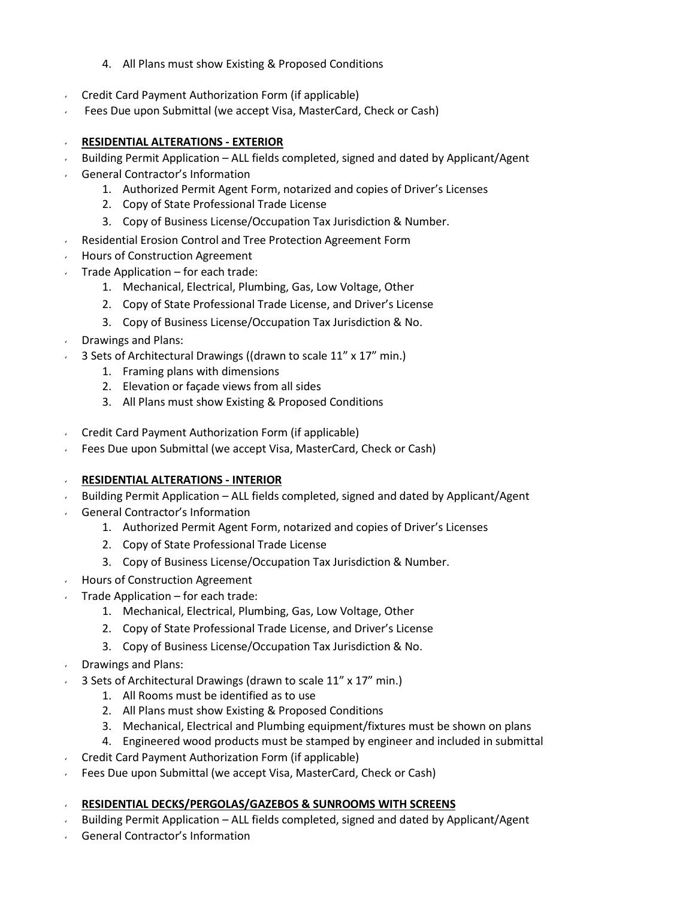- 4. All Plans must show Existing & Proposed Conditions
- Credit Card Payment Authorization Form (if applicable)
- Fees Due upon Submittal (we accept Visa, MasterCard, Check or Cash)
- **RESIDENTIAL ALTERATIONS - EXTERIOR**
- Building Permit Application ALL fields completed, signed and dated by Applicant/Agent
- General Contractor's Information
	- 1. Authorized Permit Agent Form, notarized and copies of Driver's Licenses
	- 2. Copy of State Professional Trade License
	- 3. Copy of Business License/Occupation Tax Jurisdiction & Number.
- Residential Erosion Control and Tree Protection Agreement Form
- **Hours of Construction Agreement**
- Trade Application for each trade:
	- 1. Mechanical, Electrical, Plumbing, Gas, Low Voltage, Other
	- 2. Copy of State Professional Trade License, and Driver's License
	- 3. Copy of Business License/Occupation Tax Jurisdiction & No.
- Drawings and Plans:
- 3 Sets of Architectural Drawings ((drawn to scale 11" x 17" min.)
	- 1. Framing plans with dimensions
	- 2. Elevation or façade views from all sides
	- 3. All Plans must show Existing & Proposed Conditions
- Credit Card Payment Authorization Form (if applicable)
- Fees Due upon Submittal (we accept Visa, MasterCard, Check or Cash)

#### **RESIDENTIAL ALTERATIONS - INTERIOR**

- Building Permit Application ALL fields completed, signed and dated by Applicant/Agent
- General Contractor's Information
	- 1. Authorized Permit Agent Form, notarized and copies of Driver's Licenses
	- 2. Copy of State Professional Trade License
	- 3. Copy of Business License/Occupation Tax Jurisdiction & Number.
- Hours of Construction Agreement
- Trade Application for each trade:
	- 1. Mechanical, Electrical, Plumbing, Gas, Low Voltage, Other
	- 2. Copy of State Professional Trade License, and Driver's License
	- 3. Copy of Business License/Occupation Tax Jurisdiction & No.
- Drawings and Plans:
- 3 Sets of Architectural Drawings (drawn to scale 11" x 17" min.)
	- 1. All Rooms must be identified as to use
	- 2. All Plans must show Existing & Proposed Conditions
	- 3. Mechanical, Electrical and Plumbing equipment/fixtures must be shown on plans
	- 4. Engineered wood products must be stamped by engineer and included in submittal
- Credit Card Payment Authorization Form (if applicable)
- Fees Due upon Submittal (we accept Visa, MasterCard, Check or Cash)

#### **RESIDENTIAL DECKS/PERGOLAS/GAZEBOS & SUNROOMS WITH SCREENS**

- Building Permit Application ALL fields completed, signed and dated by Applicant/Agent
- General Contractor's Information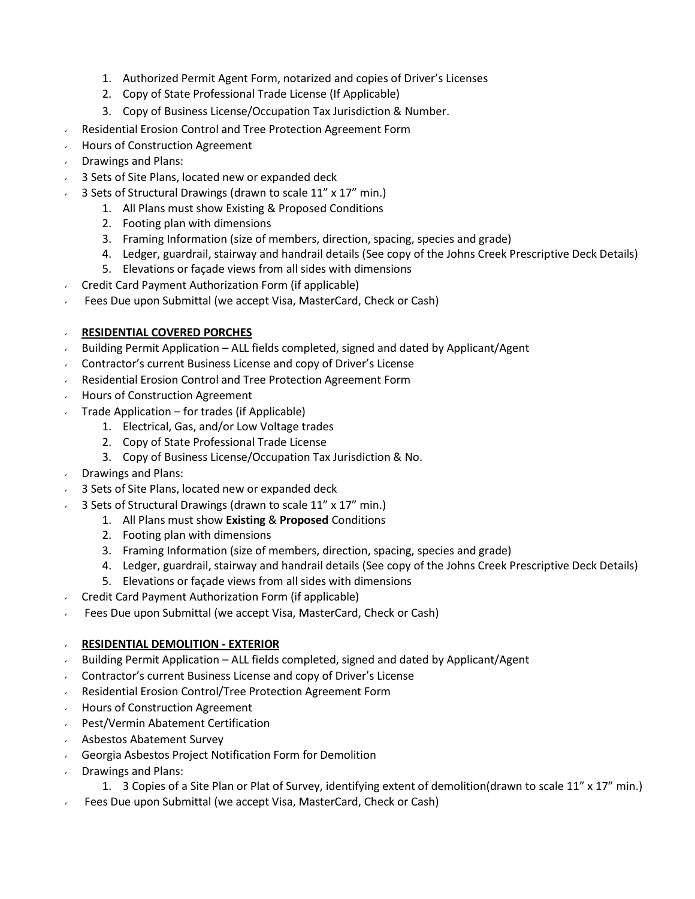- 1. Authorized Permit Agent Form, notarized and copies of Driver's Licenses
- 2. Copy of State Professional Trade License (If Applicable)
- 3. Copy of Business License/Occupation Tax Jurisdiction & Number.
- Residential Erosion Control and Tree Protection Agreement Form
- Hours of Construction Agreement  $\epsilon$
- Drawings and Plans:
- 3 Sets of Site Plans, located new or expanded deck
- 3 Sets of Structural Drawings (drawn to scale 11" x 17" min.)
	- 1. All Plans must show Existing & Proposed Conditions
	- 2. Footing plan with dimensions
	- 3. Framing Information (size of members, direction, spacing, species and grade)
	- 4. Ledger, guardrail, stairway and handrail details (See copy of the Johns Creek Prescriptive Deck Details)
	- 5. Elevations or façade views from all sides with dimensions
- $\sim$  Credit Card Payment Authorization Form (if applicable)
- Fees Due upon Submittal (we accept Visa, MasterCard, Check or Cash)  $\epsilon$

# **RESIDENTIAL COVERED PORCHES**

- Building Permit Application ALL fields completed, signed and dated by Applicant/Agent
- Contractor's current Business License and copy of Driver's License  $\epsilon$
- Residential Erosion Control and Tree Protection Agreement Form
- **Hours of Construction Agreement**
- Trade Application for trades (if Applicable)
	- 1. Electrical, Gas, and/or Low Voltage trades
		- 2. Copy of State Professional Trade License
		- 3. Copy of Business License/Occupation Tax Jurisdiction & No.
- Drawings and Plans:
- 3 Sets of Site Plans, located new or expanded deck
- 3 Sets of Structural Drawings (drawn to scale 11" x 17" min.)
	- 1. All Plans must show **Existing** & **Proposed** Conditions
	- 2. Footing plan with dimensions
	- 3. Framing Information (size of members, direction, spacing, species and grade)
	- 4. Ledger, guardrail, stairway and handrail details (See copy of the Johns Creek Prescriptive Deck Details)
	- 5. Elevations or façade views from all sides with dimensions
- Credit Card Payment Authorization Form (if applicable)
- Fees Due upon Submittal (we accept Visa, MasterCard, Check or Cash)  $\epsilon$

# **RESIDENTIAL DEMOLITION - EXTERIOR**

- Building Permit Application ALL fields completed, signed and dated by Applicant/Agent
- Contractor's current Business License and copy of Driver's License  $\epsilon$
- Residential Erosion Control/Tree Protection Agreement Form
- Hours of Construction Agreement  $\epsilon$
- Pest/Vermin Abatement Certification  $\mathbf{r}$
- Asbestos Abatement Survey
- Georgia Asbestos Project Notification Form for Demolition
- Drawings and Plans: v.
	- 1. 3 Copies of a Site Plan or Plat of Survey, identifying extent of demolition(drawn to scale 11" x 17" min.)
- Fees Due upon Submittal (we accept Visa, MasterCard, Check or Cash)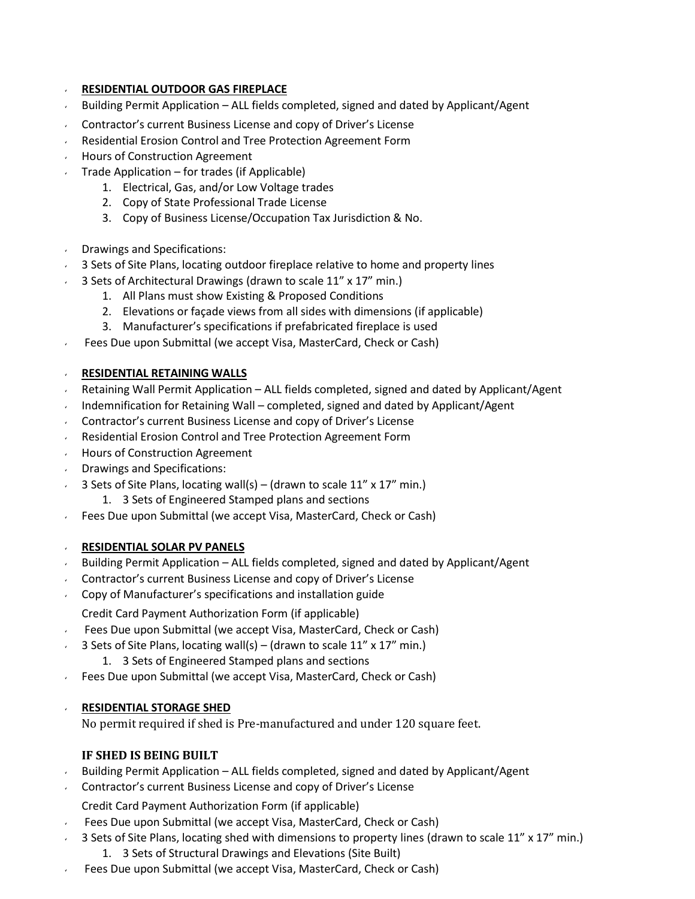#### **RESIDENTIAL OUTDOOR GAS FIREPLACE**

- Building Permit Application ALL fields completed, signed and dated by Applicant/Agent
- Contractor's current Business License and copy of Driver's License
- Residential Erosion Control and Tree Protection Agreement Form
- **Hours of Construction Agreement**
- Trade Application for trades (if Applicable)  $\mathbf{v}$ 
	- 1. Electrical, Gas, and/or Low Voltage trades
	- 2. Copy of State Professional Trade License
	- 3. Copy of Business License/Occupation Tax Jurisdiction & No.
- Drawings and Specifications:
- 3 Sets of Site Plans, locating outdoor fireplace relative to home and property lines
- 3 Sets of Architectural Drawings (drawn to scale 11" x 17" min.)
	- 1. All Plans must show Existing & Proposed Conditions
	- 2. Elevations or façade views from all sides with dimensions (if applicable)
	- 3. Manufacturer's specifications if prefabricated fireplace is used
- Fees Due upon Submittal (we accept Visa, MasterCard, Check or Cash)

#### **RESIDENTIAL RETAINING WALLS**

- Retaining Wall Permit Application ALL fields completed, signed and dated by Applicant/Agent  $\epsilon$
- Indemnification for Retaining Wall completed, signed and dated by Applicant/Agent
- Contractor's current Business License and copy of Driver's License  $\epsilon$
- Residential Erosion Control and Tree Protection Agreement Form
- **Hours of Construction Agreement**
- Drawings and Specifications:  $\epsilon$
- 3 Sets of Site Plans, locating wall(s) (drawn to scale 11" x 17" min.)
	- 1. 3 Sets of Engineered Stamped plans and sections
- Fees Due upon Submittal (we accept Visa, MasterCard, Check or Cash)  $\mathbf{v}$

#### **RESIDENTIAL SOLAR PV PANELS**

- Building Permit Application ALL fields completed, signed and dated by Applicant/Agent
- Contractor's current Business License and copy of Driver's License  $\mathbf{r}$
- Copy of Manufacturer's specifications and installation guide

Credit Card Payment Authorization Form (if applicable)

- Fees Due upon Submittal (we accept Visa, MasterCard, Check or Cash)  $\mathbf{v}$
- 3 Sets of Site Plans, locating wall(s) (drawn to scale 11" x 17" min.)
	- 1. 3 Sets of Engineered Stamped plans and sections
- Fees Due upon Submittal (we accept Visa, MasterCard, Check or Cash)

#### **RESIDENTIAL STORAGE SHED**

No permit required if shed is Pre-manufactured and under 120 square feet.

# **IF SHED IS BEING BUILT**

- Building Permit Application ALL fields completed, signed and dated by Applicant/Agent
- Contractor's current Business License and copy of Driver's License
	- Credit Card Payment Authorization Form (if applicable)
- Fees Due upon Submittal (we accept Visa, MasterCard, Check or Cash)
- 3 Sets of Site Plans, locating shed with dimensions to property lines (drawn to scale 11" x 17" min.)
	- 1. 3 Sets of Structural Drawings and Elevations (Site Built)
- Fees Due upon Submittal (we accept Visa, MasterCard, Check or Cash)